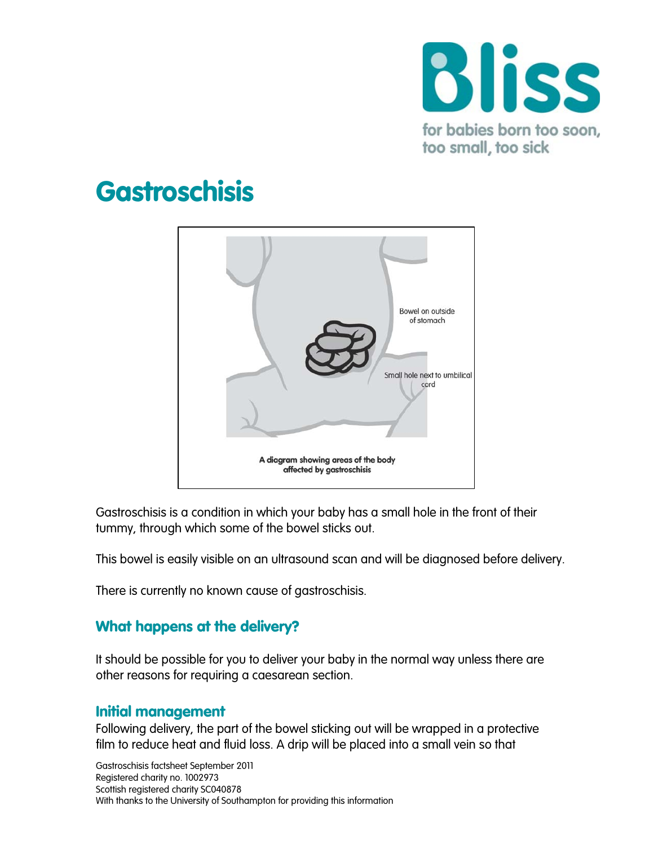

# **Gastroschisis**



Gastroschisis is a condition in which your baby has a small hole in the front of their tummy, through which some of the bowel sticks out.

This bowel is easily visible on an ultrasound scan and will be diagnosed before delivery.

There is currently no known cause of gastroschisis.

## What happens at the delivery?

It should be possible for you to deliver your baby in the normal way unless there are other reasons for requiring a caesarean section.

#### Initial management

Following delivery, the part of the bowel sticking out will be wrapped in a protective film to reduce heat and fluid loss. A drip will be placed into a small vein so that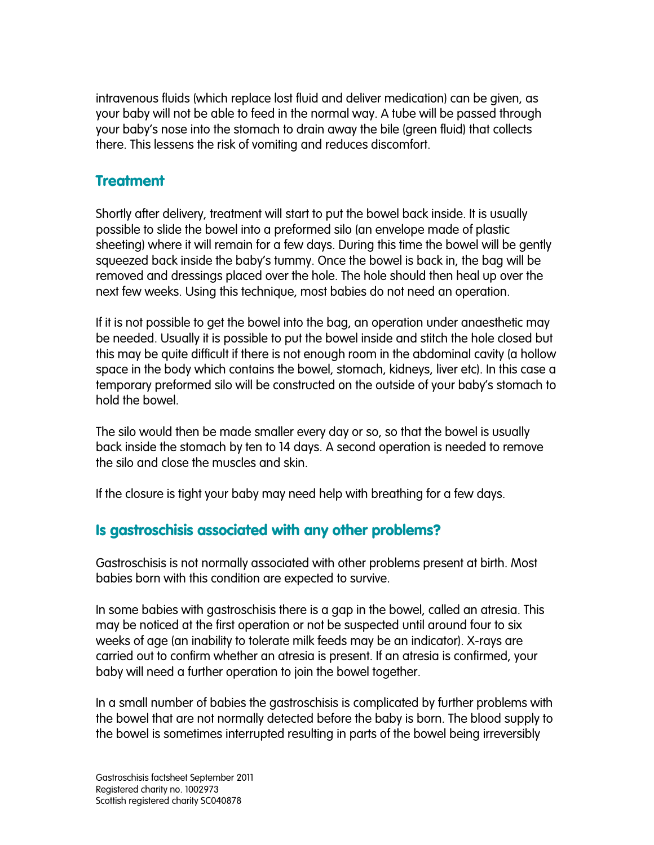intravenous fluids (which replace lost fluid and deliver medication) can be given, as your baby will not be able to feed in the normal way. A tube will be passed through your baby's nose into the stomach to drain away the bile (green fluid) that collects there. This lessens the risk of vomiting and reduces discomfort.

### **Treatment**

Shortly after delivery, treatment will start to put the bowel back inside. It is usually possible to slide the bowel into a preformed silo (an envelope made of plastic sheeting) where it will remain for a few days. During this time the bowel will be gently squeezed back inside the baby's tummy. Once the bowel is back in, the bag will be removed and dressings placed over the hole. The hole should then heal up over the next few weeks. Using this technique, most babies do not need an operation.

If it is not possible to get the bowel into the bag, an operation under anaesthetic may be needed. Usually it is possible to put the bowel inside and stitch the hole closed but this may be quite difficult if there is not enough room in the abdominal cavity (a hollow space in the body which contains the bowel, stomach, kidneys, liver etc). In this case a temporary preformed silo will be constructed on the outside of your baby's stomach to hold the bowel.

The silo would then be made smaller every day or so, so that the bowel is usually back inside the stomach by ten to 14 days. A second operation is needed to remove the silo and close the muscles and skin.

If the closure is tight your baby may need help with breathing for a few days.

## Is gastroschisis associated with any other problems?

Gastroschisis is not normally associated with other problems present at birth. Most babies born with this condition are expected to survive.

In some babies with gastroschisis there is a gap in the bowel, called an atresia. This may be noticed at the first operation or not be suspected until around four to six weeks of age (an inability to tolerate milk feeds may be an indicator). X-rays are carried out to confirm whether an atresia is present. If an atresia is confirmed, your baby will need a further operation to join the bowel together.

In a small number of babies the gastroschisis is complicated by further problems with the bowel that are not normally detected before the baby is born. The blood supply to the bowel is sometimes interrupted resulting in parts of the bowel being irreversibly